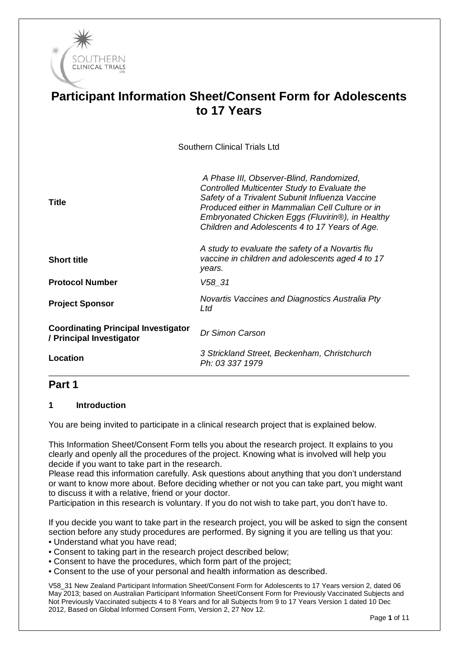

# **Participant Information Sheet/Consent Form for Adolescents to 17 Years**

Southern Clinical Trials Ltd

| <b>Title</b>                                                           | A Phase III, Observer-Blind, Randomized,<br>Controlled Multicenter Study to Evaluate the<br>Safety of a Trivalent Subunit Influenza Vaccine<br>Produced either in Mammalian Cell Culture or in<br>Embryonated Chicken Eggs (Fluvirin®), in Healthy<br>Children and Adolescents 4 to 17 Years of Age. |
|------------------------------------------------------------------------|------------------------------------------------------------------------------------------------------------------------------------------------------------------------------------------------------------------------------------------------------------------------------------------------------|
| <b>Short title</b>                                                     | A study to evaluate the safety of a Novartis flu<br>vaccine in children and adolescents aged 4 to 17<br>years.                                                                                                                                                                                       |
| <b>Protocol Number</b>                                                 | $V58 - 31$                                                                                                                                                                                                                                                                                           |
| <b>Project Sponsor</b>                                                 | Novartis Vaccines and Diagnostics Australia Pty<br>Ltd                                                                                                                                                                                                                                               |
| <b>Coordinating Principal Investigator</b><br>/ Principal Investigator | Dr Simon Carson                                                                                                                                                                                                                                                                                      |
| Location                                                               | 3 Strickland Street, Beckenham, Christchurch<br>Ph: 03 337 1979                                                                                                                                                                                                                                      |

# **Part 1**

#### **1 Introduction**

You are being invited to participate in a clinical research project that is explained below.

This Information Sheet/Consent Form tells you about the research project. It explains to you clearly and openly all the procedures of the project. Knowing what is involved will help you decide if you want to take part in the research.

Please read this information carefully. Ask questions about anything that you don't understand or want to know more about. Before deciding whether or not you can take part, you might want to discuss it with a relative, friend or your doctor.

Participation in this research is voluntary. If you do not wish to take part, you don't have to.

If you decide you want to take part in the research project, you will be asked to sign the consent section before any study procedures are performed. By signing it you are telling us that you: • Understand what you have read;

- Consent to taking part in the research project described below;
- Consent to have the procedures, which form part of the project;
- Consent to the use of your personal and health information as described.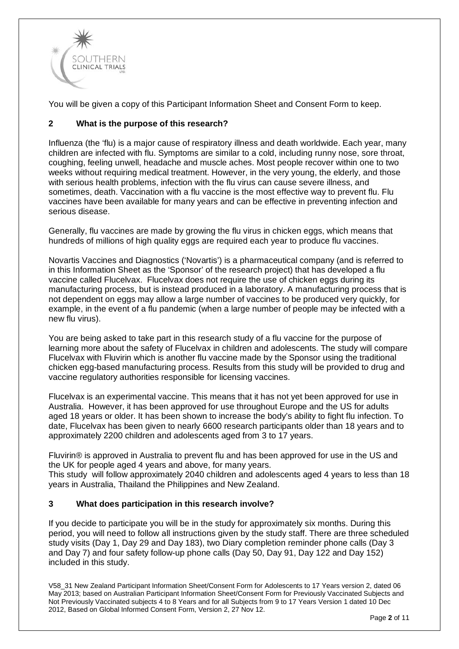

You will be given a copy of this Participant Information Sheet and Consent Form to keep.

## **2 What is the purpose of this research?**

Influenza (the 'flu) is a major cause of respiratory illness and death worldwide. Each year, many children are infected with flu. Symptoms are similar to a cold, including runny nose, sore throat, coughing, feeling unwell, headache and muscle aches. Most people recover within one to two weeks without requiring medical treatment. However, in the very young, the elderly, and those with serious health problems, infection with the flu virus can cause severe illness, and sometimes, death. Vaccination with a flu vaccine is the most effective way to prevent flu. Flu vaccines have been available for many years and can be effective in preventing infection and serious disease.

Generally, flu vaccines are made by growing the flu virus in chicken eggs, which means that hundreds of millions of high quality eggs are required each year to produce flu vaccines.

Novartis Vaccines and Diagnostics ('Novartis') is a pharmaceutical company (and is referred to in this Information Sheet as the 'Sponsor' of the research project) that has developed a flu vaccine called Flucelvax. Flucelvax does not require the use of chicken eggs during its manufacturing process, but is instead produced in a laboratory. A manufacturing process that is not dependent on eggs may allow a large number of vaccines to be produced very quickly, for example, in the event of a flu pandemic (when a large number of people may be infected with a new flu virus).

You are being asked to take part in this research study of a flu vaccine for the purpose of learning more about the safety of Flucelvax in children and adolescents. The study will compare Flucelvax with Fluvirin which is another flu vaccine made by the Sponsor using the traditional chicken egg-based manufacturing process. Results from this study will be provided to drug and vaccine regulatory authorities responsible for licensing vaccines.

Flucelvax is an experimental vaccine. This means that it has not yet been approved for use in Australia. However, it has been approved for use throughout Europe and the US for adults aged 18 years or older. It has been shown to increase the body's ability to fight flu infection. To date, Flucelvax has been given to nearly 6600 research participants older than 18 years and to approximately 2200 children and adolescents aged from 3 to 17 years.

Fluvirin® is approved in Australia to prevent flu and has been approved for use in the US and the UK for people aged 4 years and above, for many years. This study will follow approximately 2040 children and adolescents aged 4 years to less than 18

years in Australia, Thailand the Philippines and New Zealand.

#### **3 What does participation in this research involve?**

If you decide to participate you will be in the study for approximately six months. During this period, you will need to follow all instructions given by the study staff. There are three scheduled study visits (Day 1, Day 29 and Day 183), two Diary completion reminder phone calls (Day 3 and Day 7) and four safety follow-up phone calls (Day 50, Day 91, Day 122 and Day 152) included in this study.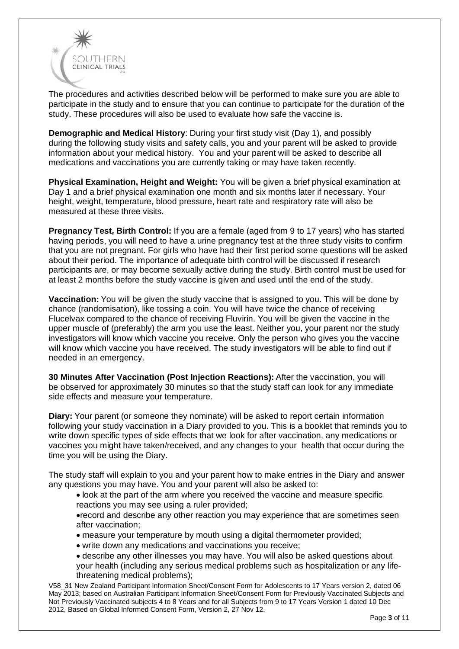

The procedures and activities described below will be performed to make sure you are able to participate in the study and to ensure that you can continue to participate for the duration of the study. These procedures will also be used to evaluate how safe the vaccine is.

**Demographic and Medical History**: During your first study visit (Day 1), and possibly during the following study visits and safety calls, you and your parent will be asked to provide information about your medical history. You and your parent will be asked to describe all medications and vaccinations you are currently taking or may have taken recently.

**Physical Examination, Height and Weight:** You will be given a brief physical examination at Day 1 and a brief physical examination one month and six months later if necessary. Your height, weight, temperature, blood pressure, heart rate and respiratory rate will also be measured at these three visits.

**Pregnancy Test, Birth Control:** If you are a female (aged from 9 to 17 years) who has started having periods, you will need to have a urine pregnancy test at the three study visits to confirm that you are not pregnant. For girls who have had their first period some questions will be asked about their period. The importance of adequate birth control will be discussed if research participants are, or may become sexually active during the study. Birth control must be used for at least 2 months before the study vaccine is given and used until the end of the study.

**Vaccination:** You will be given the study vaccine that is assigned to you. This will be done by chance (randomisation), like tossing a coin. You will have twice the chance of receiving Flucelvax compared to the chance of receiving Fluvirin. You will be given the vaccine in the upper muscle of (preferably) the arm you use the least. Neither you, your parent nor the study investigators will know which vaccine you receive. Only the person who gives you the vaccine will know which vaccine you have received. The study investigators will be able to find out if needed in an emergency.

**30 Minutes After Vaccination (Post Injection Reactions):** After the vaccination, you will be observed for approximately 30 minutes so that the study staff can look for any immediate side effects and measure your temperature.

**Diary:** Your parent (or someone they nominate) will be asked to report certain information following your study vaccination in a Diary provided to you. This is a booklet that reminds you to write down specific types of side effects that we look for after vaccination, any medications or vaccines you might have taken/received, and any changes to your health that occur during the time you will be using the Diary.

The study staff will explain to you and your parent how to make entries in the Diary and answer any questions you may have. You and your parent will also be asked to:

• look at the part of the arm where you received the vaccine and measure specific reactions you may see using a ruler provided;

•record and describe any other reaction you may experience that are sometimes seen after vaccination;

- measure your temperature by mouth using a digital thermometer provided;
- write down any medications and vaccinations you receive;
- describe any other illnesses you may have. You will also be asked questions about your health (including any serious medical problems such as hospitalization or any lifethreatening medical problems);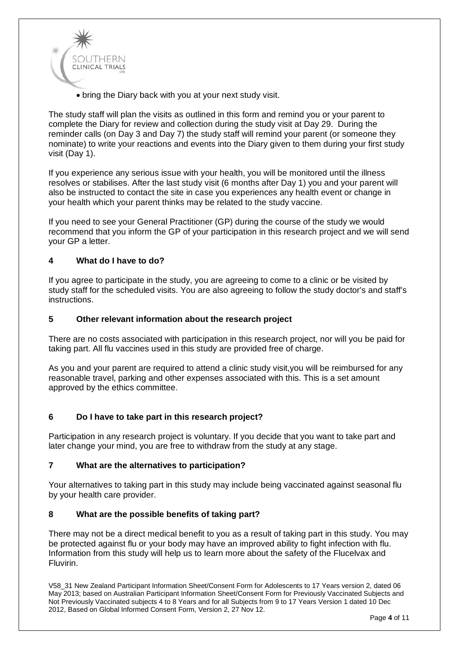

• bring the Diary back with you at your next study visit.

The study staff will plan the visits as outlined in this form and remind you or your parent to complete the Diary for review and collection during the study visit at Day 29. During the reminder calls (on Day 3 and Day 7) the study staff will remind your parent (or someone they nominate) to write your reactions and events into the Diary given to them during your first study visit (Day 1).

If you experience any serious issue with your health, you will be monitored until the illness resolves or stabilises. After the last study visit (6 months after Day 1) you and your parent will also be instructed to contact the site in case you experiences any health event or change in your health which your parent thinks may be related to the study vaccine.

If you need to see your General Practitioner (GP) during the course of the study we would recommend that you inform the GP of your participation in this research project and we will send your GP a letter.

#### **4 What do I have to do?**

If you agree to participate in the study, you are agreeing to come to a clinic or be visited by study staff for the scheduled visits. You are also agreeing to follow the study doctor's and staff's instructions.

#### **5 Other relevant information about the research project**

There are no costs associated with participation in this research project, nor will you be paid for taking part. All flu vaccines used in this study are provided free of charge.

As you and your parent are required to attend a clinic study visit,you will be reimbursed for any reasonable travel, parking and other expenses associated with this. This is a set amount approved by the ethics committee.

#### **6 Do I have to take part in this research project?**

Participation in any research project is voluntary. If you decide that you want to take part and later change your mind, you are free to withdraw from the study at any stage.

#### **7 What are the alternatives to participation?**

Your alternatives to taking part in this study may include being vaccinated against seasonal flu by your health care provider.

#### **8 What are the possible benefits of taking part?**

There may not be a direct medical benefit to you as a result of taking part in this study. You may be protected against flu or your body may have an improved ability to fight infection with flu. Information from this study will help us to learn more about the safety of the Flucelvax and Fluvirin.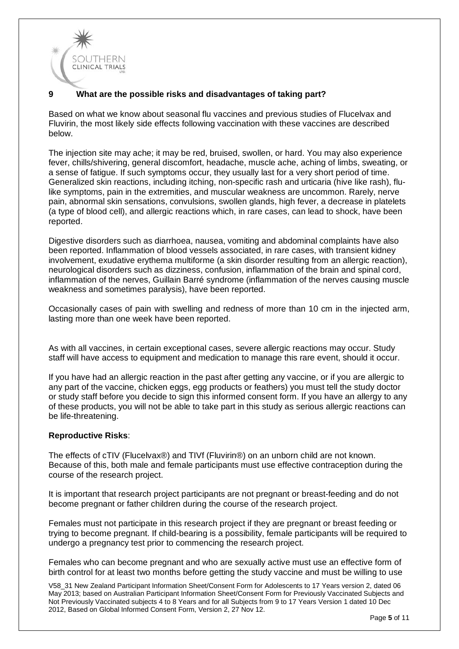

### **9 What are the possible risks and disadvantages of taking part?**

Based on what we know about seasonal flu vaccines and previous studies of Flucelvax and Fluvirin, the most likely side effects following vaccination with these vaccines are described below.

The injection site may ache; it may be red, bruised, swollen, or hard. You may also experience fever, chills/shivering, general discomfort, headache, muscle ache, aching of limbs, sweating, or a sense of fatigue. If such symptoms occur, they usually last for a very short period of time. Generalized skin reactions, including itching, non-specific rash and urticaria (hive like rash), flulike symptoms, pain in the extremities, and muscular weakness are uncommon. Rarely, nerve pain, abnormal skin sensations, convulsions, swollen glands, high fever, a decrease in platelets (a type of blood cell), and allergic reactions which, in rare cases, can lead to shock, have been reported.

Digestive disorders such as diarrhoea, nausea, vomiting and abdominal complaints have also been reported. Inflammation of blood vessels associated, in rare cases, with transient kidney involvement, exudative erythema multiforme (a skin disorder resulting from an allergic reaction), neurological disorders such as dizziness, confusion, inflammation of the brain and spinal cord, inflammation of the nerves, Guillain Barré syndrome (inflammation of the nerves causing muscle weakness and sometimes paralysis), have been reported.

Occasionally cases of pain with swelling and redness of more than 10 cm in the injected arm, lasting more than one week have been reported.

As with all vaccines, in certain exceptional cases, severe allergic reactions may occur. Study staff will have access to equipment and medication to manage this rare event, should it occur.

If you have had an allergic reaction in the past after getting any vaccine, or if you are allergic to any part of the vaccine, chicken eggs, egg products or feathers) you must tell the study doctor or study staff before you decide to sign this informed consent form. If you have an allergy to any of these products, you will not be able to take part in this study as serious allergic reactions can be life-threatening.

#### **Reproductive Risks**:

The effects of cTIV (Flucelvax®) and TIVf (Fluvirin®) on an unborn child are not known. Because of this, both male and female participants must use effective contraception during the course of the research project.

It is important that research project participants are not pregnant or breast-feeding and do not become pregnant or father children during the course of the research project.

Females must not participate in this research project if they are pregnant or breast feeding or trying to become pregnant. If child-bearing is a possibility, female participants will be required to undergo a pregnancy test prior to commencing the research project.

Females who can become pregnant and who are sexually active must use an effective form of birth control for at least two months before getting the study vaccine and must be willing to use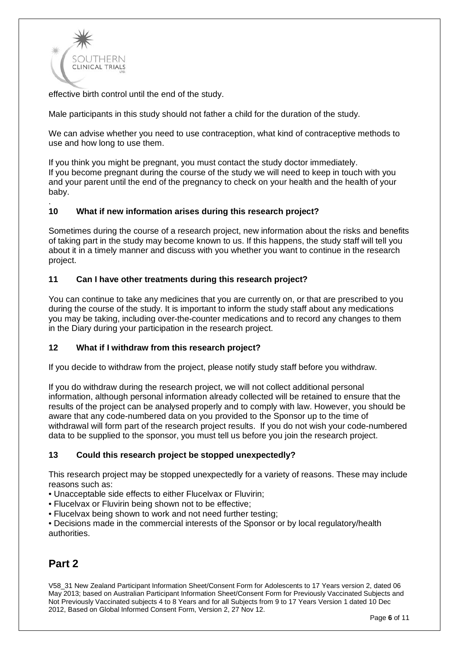

effective birth control until the end of the study.

Male participants in this study should not father a child for the duration of the study.

We can advise whether you need to use contraception, what kind of contraceptive methods to use and how long to use them.

If you think you might be pregnant, you must contact the study doctor immediately. If you become pregnant during the course of the study we will need to keep in touch with you and your parent until the end of the pregnancy to check on your health and the health of your baby.

#### . **10 What if new information arises during this research project?**

Sometimes during the course of a research project, new information about the risks and benefits of taking part in the study may become known to us. If this happens, the study staff will tell you about it in a timely manner and discuss with you whether you want to continue in the research project.

#### **11 Can I have other treatments during this research project?**

You can continue to take any medicines that you are currently on, or that are prescribed to you during the course of the study. It is important to inform the study staff about any medications you may be taking, including over-the-counter medications and to record any changes to them in the Diary during your participation in the research project.

#### **12 What if I withdraw from this research project?**

If you decide to withdraw from the project, please notify study staff before you withdraw.

If you do withdraw during the research project, we will not collect additional personal information, although personal information already collected will be retained to ensure that the results of the project can be analysed properly and to comply with law. However, you should be aware that any code-numbered data on you provided to the Sponsor up to the time of withdrawal will form part of the research project results. If you do not wish your code-numbered data to be supplied to the sponsor, you must tell us before you join the research project.

#### **13 Could this research project be stopped unexpectedly?**

This research project may be stopped unexpectedly for a variety of reasons. These may include reasons such as:

• Unacceptable side effects to either Flucelvax or Fluvirin;

- Flucelvax or Fluvirin being shown not to be effective;
- Flucelvax being shown to work and not need further testing;

• Decisions made in the commercial interests of the Sponsor or by local regulatory/health authorities.

# **Part 2**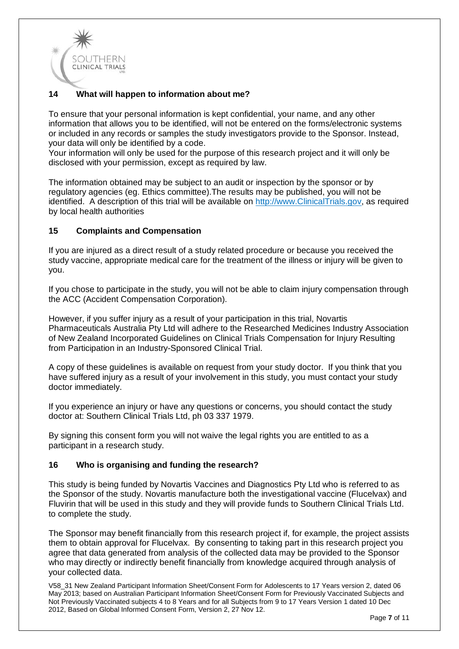

## **14 What will happen to information about me?**

To ensure that your personal information is kept confidential, your name, and any other information that allows you to be identified, will not be entered on the forms/electronic systems or included in any records or samples the study investigators provide to the Sponsor. Instead, your data will only be identified by a code.

Your information will only be used for the purpose of this research project and it will only be disclosed with your permission, except as required by law.

The information obtained may be subject to an audit or inspection by the sponsor or by regulatory agencies (eg. Ethics committee).The results may be published, you will not be identified. A description of this trial will be available on http://www.ClinicalTrials.gov, as required by local health authorities

#### **15 Complaints and Compensation**

If you are injured as a direct result of a study related procedure or because you received the study vaccine, appropriate medical care for the treatment of the illness or injury will be given to you.

If you chose to participate in the study, you will not be able to claim injury compensation through the ACC (Accident Compensation Corporation).

However, if you suffer injury as a result of your participation in this trial, Novartis Pharmaceuticals Australia Pty Ltd will adhere to the Researched Medicines Industry Association of New Zealand Incorporated Guidelines on Clinical Trials Compensation for Injury Resulting from Participation in an Industry-Sponsored Clinical Trial.

A copy of these guidelines is available on request from your study doctor. If you think that you have suffered injury as a result of your involvement in this study, you must contact your study doctor immediately.

If you experience an injury or have any questions or concerns, you should contact the study doctor at: Southern Clinical Trials Ltd, ph 03 337 1979.

By signing this consent form you will not waive the legal rights you are entitled to as a participant in a research study.

#### **16 Who is organising and funding the research?**

This study is being funded by Novartis Vaccines and Diagnostics Pty Ltd who is referred to as the Sponsor of the study. Novartis manufacture both the investigational vaccine (Flucelvax) and Fluvirin that will be used in this study and they will provide funds to Southern Clinical Trials Ltd. to complete the study.

The Sponsor may benefit financially from this research project if, for example, the project assists them to obtain approval for Flucelvax. By consenting to taking part in this research project you agree that data generated from analysis of the collected data may be provided to the Sponsor who may directly or indirectly benefit financially from knowledge acquired through analysis of your collected data.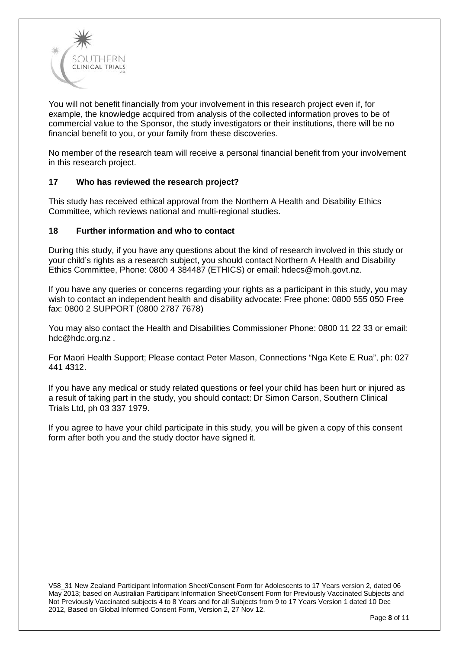

You will not benefit financially from your involvement in this research project even if, for example, the knowledge acquired from analysis of the collected information proves to be of commercial value to the Sponsor, the study investigators or their institutions, there will be no financial benefit to you, or your family from these discoveries.

No member of the research team will receive a personal financial benefit from your involvement in this research project.

#### **17 Who has reviewed the research project?**

This study has received ethical approval from the Northern A Health and Disability Ethics Committee, which reviews national and multi-regional studies.

#### **18 Further information and who to contact**

During this study, if you have any questions about the kind of research involved in this study or your child's rights as a research subject, you should contact Northern A Health and Disability Ethics Committee, Phone: 0800 4 384487 (ETHICS) or email: [hdecs@moh.govt.nz.](mailto:hdecs@moh.govt.nz)

If you have any queries or concerns regarding your rights as a participant in this study, you may wish to contact an independent health and disability advocate: Free phone: 0800 555 050 Free fax: 0800 2 SUPPORT (0800 2787 7678)

You may also contact the Health and Disabilities Commissioner Phone: 0800 11 22 33 or email: [hdc@hdc.org.nz](mailto:hdc@hdc.org.nz) .

For Maori Health Support; Please contact Peter Mason, Connections "Nga Kete E Rua", ph: 027 441 4312.

If you have any medical or study related questions or feel your child has been hurt or injured as a result of taking part in the study, you should contact: Dr Simon Carson, Southern Clinical Trials Ltd, ph 03 337 1979.

If you agree to have your child participate in this study, you will be given a copy of this consent form after both you and the study doctor have signed it.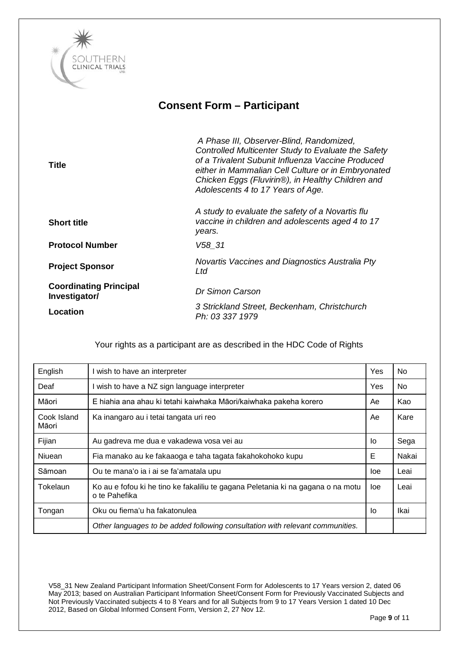

# **Consent Form – Participant**

| <b>Title</b>                                   | A Phase III, Observer-Blind, Randomized,<br>Controlled Multicenter Study to Evaluate the Safety<br>of a Trivalent Subunit Influenza Vaccine Produced<br>either in Mammalian Cell Culture or in Embryonated<br>Chicken Eggs (Fluvirin®), in Healthy Children and<br>Adolescents 4 to 17 Years of Age. |
|------------------------------------------------|------------------------------------------------------------------------------------------------------------------------------------------------------------------------------------------------------------------------------------------------------------------------------------------------------|
| <b>Short title</b>                             | A study to evaluate the safety of a Novartis flu<br>vaccine in children and adolescents aged 4 to 17<br>years.                                                                                                                                                                                       |
| <b>Protocol Number</b>                         | V58 31                                                                                                                                                                                                                                                                                               |
| <b>Project Sponsor</b>                         | Novartis Vaccines and Diagnostics Australia Pty<br>Ltd                                                                                                                                                                                                                                               |
| <b>Coordinating Principal</b><br>Investigator/ | Dr Simon Carson                                                                                                                                                                                                                                                                                      |
| Location                                       | 3 Strickland Street, Beckenham, Christchurch<br>Ph: 03 337 1979                                                                                                                                                                                                                                      |

| English              | l wish to have an interpreter                                                                     |            | No.   |
|----------------------|---------------------------------------------------------------------------------------------------|------------|-------|
| Deaf                 | wish to have a NZ sign language interpreter                                                       | <b>Yes</b> | No.   |
| Māori                | E hiahia ana ahau ki tetahi kaiwhaka Māori/kaiwhaka pakeha korero                                 | Ae         | Kao   |
| Cook Island<br>Māori | Ka inangaro au i tetai tangata uri reo                                                            | Ae         | Kare  |
| Fijian               | Au gadreva me dua e vakadewa vosa vei au                                                          | Ιo         | Sega  |
| <b>Niuean</b>        | Fia manako au ke fakaaoga e taha tagata fakahokohoko kupu                                         | Е          | Nakai |
| Sāmoan               | Ou te mana'o ia i ai se fa'amatala upu                                                            | loe        | Leai  |
| Tokelaun             | Ko au e fofou ki he tino ke fakaliliu te gagana Peletania ki na gagana o na motu<br>o te Pahefika | loe        | Leai  |
| Tongan               | Oku ou fiema'u ha fakatonulea                                                                     | Ιo         | Ikai  |
|                      | Other languages to be added following consultation with relevant communities.                     |            |       |

Your rights as a participant are as described in the HDC Code of Rights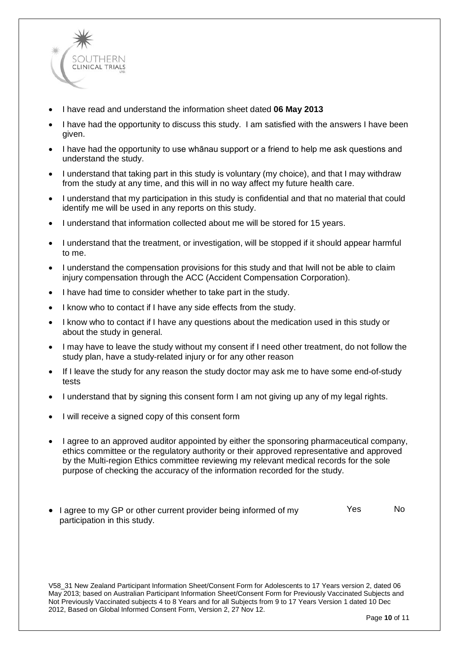

- I have read and understand the information sheet dated **06 May 2013**
- I have had the opportunity to discuss this study. I am satisfied with the answers I have been given.
- I have had the opportunity to use whānau support or a friend to help me ask questions and understand the study.
- I understand that taking part in this study is voluntary (my choice), and that I may withdraw from the study at any time, and this will in no way affect my future health care.
- I understand that my participation in this study is confidential and that no material that could identify me will be used in any reports on this study.
- I understand that information collected about me will be stored for 15 years.
- I understand that the treatment, or investigation, will be stopped if it should appear harmful to me.
- I understand the compensation provisions for this study and that Iwill not be able to claim injury compensation through the ACC (Accident Compensation Corporation).
- I have had time to consider whether to take part in the study.
- I know who to contact if I have any side effects from the study.
- I know who to contact if I have any questions about the medication used in this study or about the study in general.
- I may have to leave the study without my consent if I need other treatment, do not follow the study plan, have a study-related injury or for any other reason
- If I leave the study for any reason the study doctor may ask me to have some end-of-study tests
- I understand that by signing this consent form I am not giving up any of my legal rights.
- I will receive a signed copy of this consent form
- I agree to an approved auditor appointed by either the sponsoring pharmaceutical company, ethics committee or the regulatory authority or their approved representative and approved by the Multi-region Ethics committee reviewing my relevant medical records for the sole purpose of checking the accuracy of the information recorded for the study.
- I agree to my GP or other current provider being informed of my participation in this study. Yes No